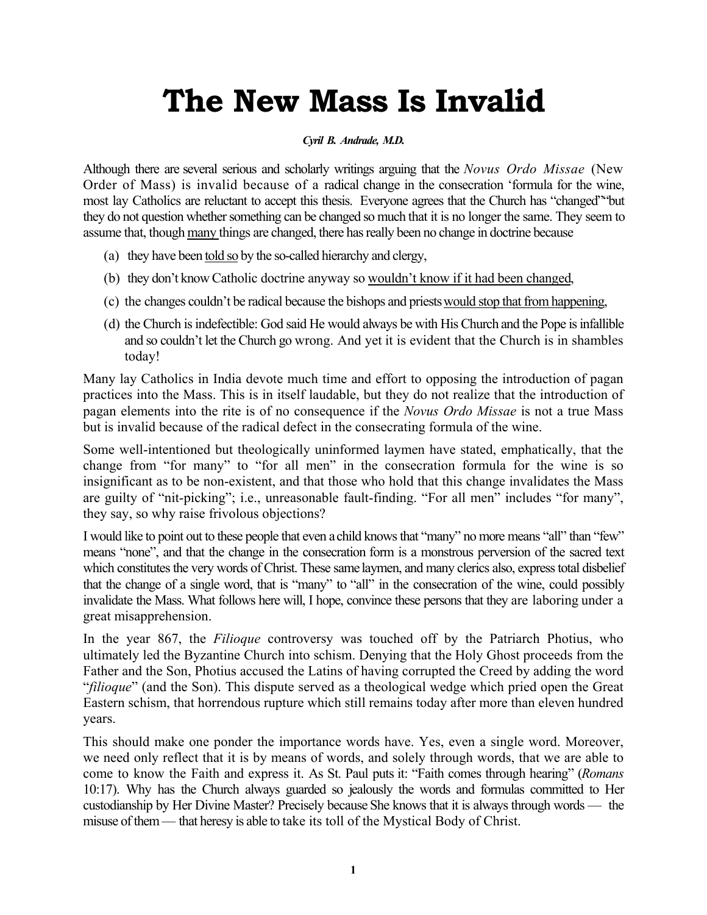# **The New Mass Is Invalid**

#### *Cyril B. Andrade, M.D.*

Although there are several serious and scholarly writings arguing that the *Novus Ordo Missae* (New Order of Mass) is invalid because of a radical change in the consecration 'formula for the wine, most lay Catholics are reluctant to accept this thesis. Everyone agrees that the Church has "changed""but they do not question whether something can be changed so much that it is no longer the same. They seem to assume that, though many things are changed, there has really been no change in doctrine because

- (a) they have been told so by the so-called hierarchy and clergy,
- (b) they don't know Catholic doctrine anyway so wouldn't know if it had been changed,
- (c) the changes couldn't be radical because the bishops and priests would stop that from happening,
- (d) the Church is indefectible: God said He would always be with His Church and the Pope is infallible and so couldn't let the Church go wrong. And yet it is evident that the Church is in shambles today!

Many lay Catholics in India devote much time and effort to opposing the introduction of pagan practices into the Mass. This is in itself laudable, but they do not realize that the introduction of pagan elements into the rite is of no consequence if the *Novus Ordo Missae* is not a true Mass but is invalid because of the radical defect in the consecrating formula of the wine.

Some well-intentioned but theologically uninformed laymen have stated, emphatically, that the change from "for many" to "for all men" in the consecration formula for the wine is so insignificant as to be non-existent, and that those who hold that this change invalidates the Mass are guilty of "nit-picking"; i.e., unreasonable fault-finding. "For all men" includes "for many", they say, so why raise frivolous objections?

I would like to point out to these people that even a child knows that "many" no more means "all" than "few" means "none", and that the change in the consecration form is a monstrous perversion of the sacred text which constitutes the very words of Christ. These same laymen, and many clerics also, express total disbelief that the change of a single word, that is "many" to "all" in the consecration of the wine, could possibly invalidate the Mass. What follows here will, I hope, convince these persons that they are laboring under a great misapprehension.

In the year 867, the *Filioque* controversy was touched off by the Patriarch Photius, who ultimately led the Byzantine Church into schism. Denying that the Holy Ghost proceeds from the Father and the Son, Photius accused the Latins of having corrupted the Creed by adding the word "*filioque*" (and the Son). This dispute served as a theological wedge which pried open the Great Eastern schism, that horrendous rupture which still remains today after more than eleven hundred years.

This should make one ponder the importance words have. Yes, even a single word. Moreover, we need only reflect that it is by means of words, and solely through words, that we are able to come to know the Faith and express it. As St. Paul puts it: "Faith comes through hearing" (*Romans*  10:17). Why has the Church always guarded so jealously the words and formulas committed to Her custodianship by Her Divine Master? Precisely because She knows that it is always through words — the misuse of them — that heresy is able to take its toll of the Mystical Body of Christ.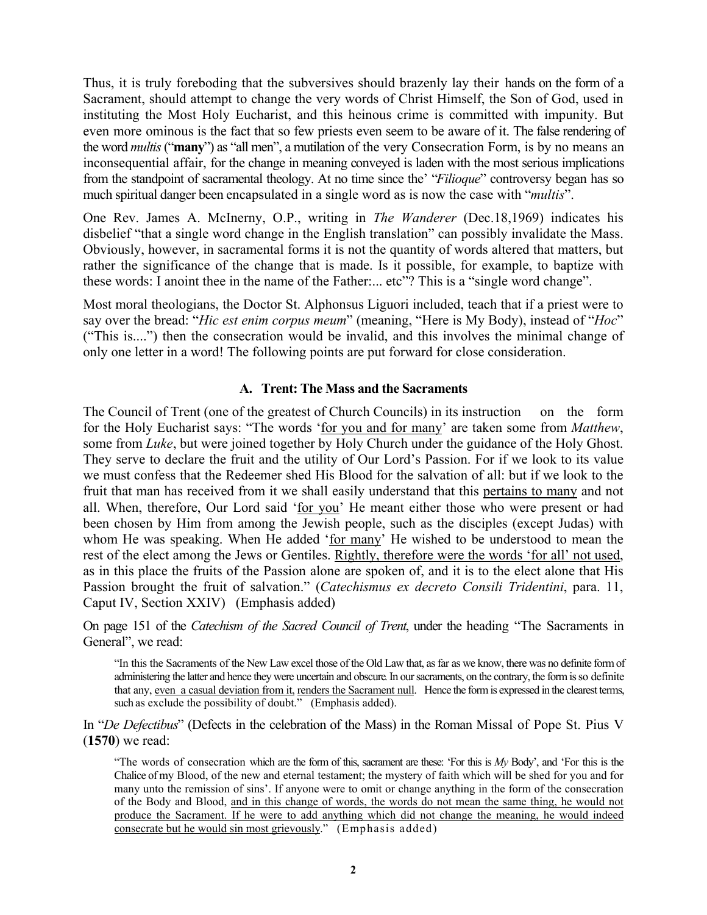Thus, it is truly foreboding that the subversives should brazenly lay their hands on the form of a Sacrament, should attempt to change the very words of Christ Himself, the Son of God, used in instituting the Most Holy Eucharist, and this heinous crime is committed with impunity. But even more ominous is the fact that so few priests even seem to be aware of it. The false rendering of the word *multis* ("**many**") as "all men", a mutilation of the very Consecration Form, is by no means an inconsequential affair, for the change in meaning conveyed is laden with the most serious implications from the standpoint of sacramental theology. At no time since the' "*Filioque*" controversy began has so much spiritual danger been encapsulated in a single word as is now the case with "*multis*".

One Rev. James A. McInerny, O.P., writing in *The Wanderer* (Dec.18,1969) indicates his disbelief "that a single word change in the English translation" can possibly invalidate the Mass. Obviously, however, in sacramental forms it is not the quantity of words altered that matters, but rather the significance of the change that is made. Is it possible, for example, to baptize with these words: I anoint thee in the name of the Father:... etc"? This is a "single word change".

Most moral theologians, the Doctor St. Alphonsus Liguori included, teach that if a priest were to say over the bread: "*Hic est enim corpus meum*" (meaning, "Here is My Body), instead of "*Hoc*" ("This is....") then the consecration would be invalid, and this involves the minimal change of only one letter in a word! The following points are put forward for close consideration.

#### **A. Trent: The Mass and the Sacraments**

The Council of Trent (one of the greatest of Church Councils) in its instruction on the form for the Holy Eucharist says: "The words 'for you and for many' are taken some from *Matthew*, some from *Luke*, but were joined together by Holy Church under the guidance of the Holy Ghost. They serve to declare the fruit and the utility of Our Lord's Passion. For if we look to its value we must confess that the Redeemer shed His Blood for the salvation of all: but if we look to the fruit that man has received from it we shall easily understand that this pertains to many and not all. When, therefore, Our Lord said 'for you' He meant either those who were present or had been chosen by Him from among the Jewish people, such as the disciples (except Judas) with whom He was speaking. When He added 'for many' He wished to be understood to mean the rest of the elect among the Jews or Gentiles. Rightly, therefore were the words 'for all' not used, as in this place the fruits of the Passion alone are spoken of, and it is to the elect alone that His Passion brought the fruit of salvation." (*Catechismus ex decreto Consili Tridentini*, para. 11, Caput IV, Section XXIV) (Emphasis added)

On page 151 of the *Catechism of the Sacred Council of Trent*, under the heading "The Sacraments in General", we read:

"In this the Sacraments of the New Law excel those of the Old Law that, as far as we know, there was no definite form of administering the latter and hence they were uncertain and obscure. In our sacraments, on the contrary, the form is so definite that any, even a casual deviation from it, renders the Sacrament null. Hence the form is expressed in the clearest terms, such as exclude the possibility of doubt." (Emphasis added).

In "*De Defectibus*" (Defects in the celebration of the Mass) in the Roman Missal of Pope St. Pius V (**1570**) we read:

"The words of consecration which are the form of this, sacrament are these: 'For this is *My* Body', and 'For this is the Chalice of my Blood, of the new and eternal testament; the mystery of faith which will be shed for you and for many unto the remission of sins'. If anyone were to omit or change anything in the form of the consecration of the Body and Blood, and in this change of words, the words do not mean the same thing, he would not produce the Sacrament. If he were to add anything which did not change the meaning, he would indeed consecrate but he would sin most grievously." (Emphasis added)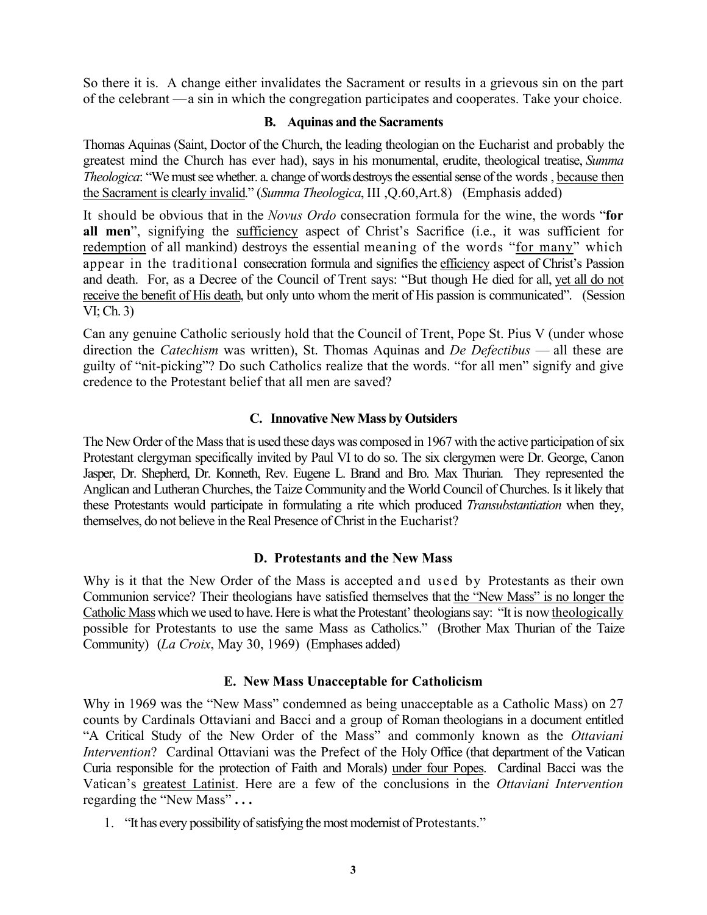So there it is. A change either invalidates the Sacrament or results in a grievous sin on the part of the celebrant — a sin in which the congregation participates and cooperates. Take your choice.

## **B. Aquinas and the Sacraments**

Thomas Aquinas (Saint, Doctor of the Church, the leading theologian on the Eucharist and probably the greatest mind the Church has ever had), says in his monumental, erudite, theological treatise, *Summa Theologica*: "We must see whether. a. change of words destroys the essential sense of the words , because then the Sacrament is clearly invalid." (*Summa Theologica*, III ,Q.60,Art.8) (Emphasis added)

It should be obvious that in the *Novus Ordo* consecration formula for the wine, the words "**for all men**", signifying the sufficiency aspect of Christ's Sacrifice (i.e., it was sufficient for redemption of all mankind) destroys the essential meaning of the words "for many" which appear in the traditional consecration formula and signifies the efficiency aspect of Christ's Passion and death. For, as a Decree of the Council of Trent says: "But though He died for all, yet all do not receive the benefit of His death, but only unto whom the merit of His passion is communicated". (Session VI; Ch. 3)

Can any genuine Catholic seriously hold that the Council of Trent, Pope St. Pius V (under whose direction the *Catechism* was written), St. Thomas Aquinas and *De Defectibus* — all these are guilty of "nit-picking"? Do such Catholics realize that the words. "for all men" signify and give credence to the Protestant belief that all men are saved?

# **C. Innovative New Mass by Outsiders**

The New Order of the Mass that is used these days was composed in 1967 with the active participation of six Protestant clergyman specifically invited by Paul VI to do so. The six clergymen were Dr. George, Canon Jasper, Dr. Shepherd, Dr. Konneth, Rev. Eugene L. Brand and Bro. Max Thurian. They represented the Anglican and Lutheran Churches, the Taize Community and the World Council of Churches. Is it likely that these Protestants would participate in formulating a rite which produced *Transubstantiation* when they, themselves, do not believe in the Real Presence of Christ in the Eucharist?

# **D. Protestants and the New Mass**

Why is it that the New Order of the Mass is accepted and used by Protestants as their own Communion service? Their theologians have satisfied themselves that the "New Mass" is no longer the Catholic Mass which we used to have. Here is what the Protestant' theologians say: "It is now theologically possible for Protestants to use the same Mass as Catholics." (Brother Max Thurian of the Taize Community) (*La Croix*, May 30, 1969) (Emphases added)

# **E. New Mass Unacceptable for Catholicism**

Why in 1969 was the "New Mass" condemned as being unacceptable as a Catholic Mass) on 27 counts by Cardinals Ottaviani and Bacci and a group of Roman theologians in a document entitled "A Critical Study of the New Order of the Mass" and commonly known as the *Ottaviani Intervention*? Cardinal Ottaviani was the Prefect of the Holy Office (that department of the Vatican Curia responsible for the protection of Faith and Morals) under four Popes. Cardinal Bacci was the Vatican's greatest Latinist. Here are a few of the conclusions in the *Ottaviani Intervention* regarding the "New Mass" **. . .** 

1. "It has every possibility of satisfying the most modernist of Protestants."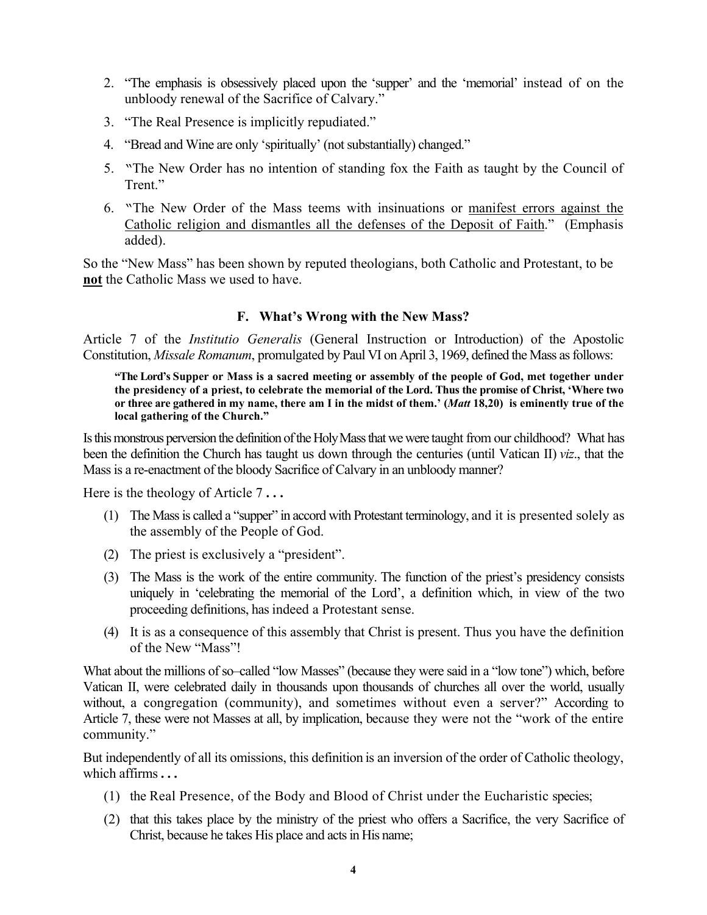- 2. "The emphasis is obsessively placed upon the 'supper' and the 'memorial' instead of on the unbloody renewal of the Sacrifice of Calvary."
- 3. "The Real Presence is implicitly repudiated."
- 4. "Bread and Wine are only 'spiritually' (not substantially) changed."
- 5. "The New Order has no intention of standing fox the Faith as taught by the Council of Trent."
- 6. "The New Order of the Mass teems with insinuations or manifest errors against the Catholic religion and dismantles all the defenses of the Deposit of Faith." (Emphasis added).

So the "New Mass" has been shown by reputed theologians, both Catholic and Protestant, to be **not** the Catholic Mass we used to have.

## **F. What's Wrong with the New Mass?**

Article 7 of the *Institutio Generalis* (General Instruction or Introduction) of the Apostolic Constitution, *Missale Romanum*, promulgated by Paul VI on April 3, 1969, defined the Mass as follows:

**"The Lord's Supper or Mass is a sacred meeting or assembly of the people of God, met together under the presidency of a priest, to celebrate the memorial of the Lord. Thus the promise of Christ, 'Where two or three are gathered in my name, there am I in the midst of them.' (***Matt* **18,20) is eminently true of the local gathering of the Church."** 

Is this monstrous perversion the definition of the Holy Mass that we were taught from our childhood? What has been the definition the Church has taught us down through the centuries (until Vatican II) *viz*., that the Massis a re-enactment of the bloody Sacrifice of Calvary in an unbloody manner?

Here is the theology of Article 7 **. . .** 

- (1) The Mass is called a "supper" in accord with Protestant terminology, and it is presented solely as the assembly of the People of God.
- (2) The priest is exclusively a "president".
- (3) The Mass is the work of the entire community. The function of the priest's presidency consists uniquely in 'celebrating the memorial of the Lord', a definition which, in view of the two proceeding definitions, has indeed a Protestant sense.
- (4) It is as a consequence of this assembly that Christ is present. Thus you have the definition of the New "Mass"!

What about the millions of so–called "low Masses" (because they were said in a "low tone") which, before Vatican II, were celebrated daily in thousands upon thousands of churches all over the world, usually without, a congregation (community), and sometimes without even a server?" According to Article 7, these were not Masses at all, by implication, because they were not the "work of the entire community."

But independently of all its omissions, this definition is an inversion of the order of Catholic theology, which affirms **. . .**

- (1) the Real Presence, of the Body and Blood of Christ under the Eucharistic species;
- (2) that this takes place by the ministry of the priest who offers a Sacrifice, the very Sacrifice of Christ, because he takes His place and acts in His name;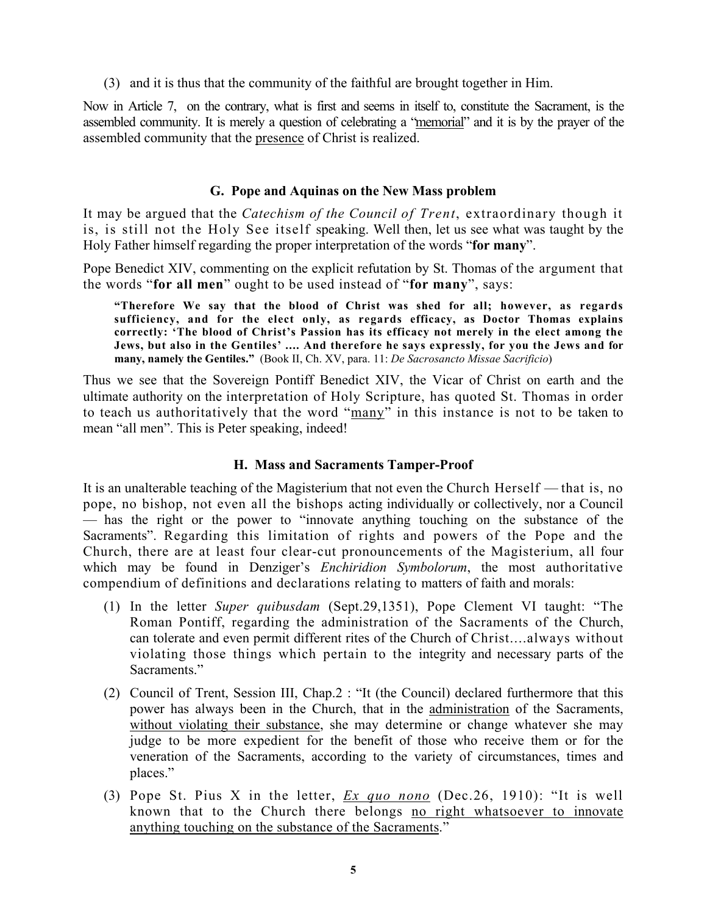(3) and it is thus that the community of the faithful are brought together in Him.

Now in Article 7, on the contrary, what is first and seems in itself to, constitute the Sacrament, is the assembled community. It is merely a question of celebrating a "memorial" and it is by the prayer of the assembled community that the presence of Christ is realized.

## **G. Pope and Aquinas on the New Mass problem**

It may be argued that the *Catechism of the Council of Trent*, extraordinary though it is, is still not the Holy See itself speaking. Well then, let us see what was taught by the Holy Father himself regarding the proper interpretation of the words "**for many**".

Pope Benedict XIV, commenting on the explicit refutation by St. Thomas of the argument that the words "**for all men**" ought to be used instead of "**for many**", says:

**"Therefore We say that the blood of Christ was shed for all; however, as regards sufficiency, and for the elect only, as regards efficacy, as Doctor Thomas explains correctly: 'The blood of Christ's Passion has its efficacy not merely in the elect among the Jews, but also in the Gentiles' .... And therefore he says expressly, for you the Jews and for many, namely the Gentiles."** (Book II, Ch. XV, para. 11: *De Sacrosancto Missae Sacrificio*)

Thus we see that the Sovereign Pontiff Benedict XIV, the Vicar of Christ on earth and the ultimate authority on the interpretation of Holy Scripture, has quoted St. Thomas in order to teach us authoritatively that the word "many" in this instance is not to be taken to mean "all men". This is Peter speaking, indeed!

#### **H. Mass and Sacraments Tamper-Proof**

It is an unalterable teaching of the Magisterium that not even the Church Herself — that is, no pope, no bishop, not even all the bishops acting individually or collectively, nor a Council — has the right or the power to "innovate anything touching on the substance of the Sacraments". Regarding this limitation of rights and powers of the Pope and the Church, there are at least four clear-cut pronouncements of the Magisterium, all four which may be found in Denziger's *Enchiridion Symbolorum*, the most authoritative compendium of definitions and declarations relating to matters of faith and morals:

- (1) In the letter *Super quibusdam* (Sept.29,1351), Pope Clement VI taught: "The Roman Pontiff, regarding the administration of the Sacraments of the Church, can tolerate and even permit different rites of the Church of Christ....always without violating those things which pertain to the integrity and necessary parts of the Sacraments."
- (2) Council of Trent, Session III, Chap.2 : "It (the Council) declared furthermore that this power has always been in the Church, that in the administration of the Sacraments, without violating their substance, she may determine or change whatever she may judge to be more expedient for the benefit of those who receive them or for the veneration of the Sacraments, according to the variety of circumstances, times and places."
- (3) Pope St. Pius X in the letter, *Ex quo nono* (Dec.26, 1910): "It is well known that to the Church there belongs no right whatsoever to innovate anything touching on the substance of the Sacraments."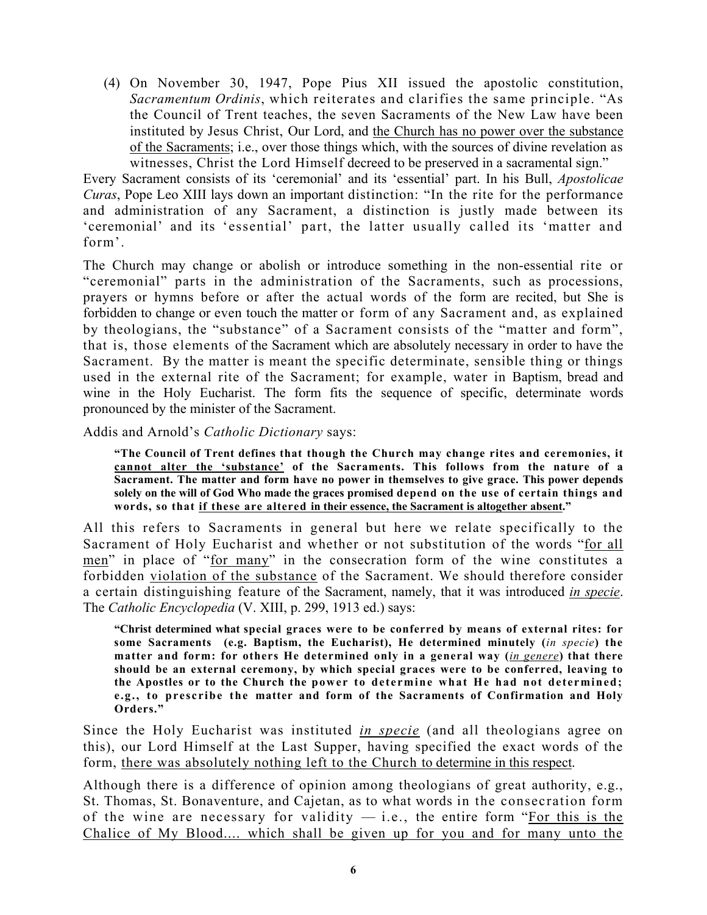(4) On November 30, 1947, Pope Pius XII issued the apostolic constitution, *Sacramentum Ordinis*, which reiterates and clarifies the same principle. "As the Council of Trent teaches, the seven Sacraments of the New Law have been instituted by Jesus Christ, Our Lord, and the Church has no power over the substance of the Sacraments; i.e., over those things which, with the sources of divine revelation as witnesses, Christ the Lord Himself decreed to be preserved in a sacramental sign."

Every Sacrament consists of its 'ceremonial' and its 'essential' part. In his Bull, *Apostolicae Curas*, Pope Leo XIII lays down an important distinction: "In the rite for the performance and administration of any Sacrament, a distinction is justly made between its 'ceremonial' and its 'essential' part, the latter usually called its 'matter and form'.

The Church may change or abolish or introduce something in the non-essential rite or "ceremonial" parts in the administration of the Sacraments, such as processions, prayers or hymns before or after the actual words of the form are recited, but She is forbidden to change or even touch the matter or form of any Sacrament and, as explained by theologians, the "substance" of a Sacrament consists of the "matter and form", that is, those elements of the Sacrament which are absolutely necessary in order to have the Sacrament. By the matter is meant the specific determinate, sensible thing or things used in the external rite of the Sacrament; for example, water in Baptism, bread and wine in the Holy Eucharist. The form fits the sequence of specific, determinate words pronounced by the minister of the Sacrament.

Addis and Arnold's *Catholic Dictionary* says:

**"The Council of Trent defines that though the Church may change rites and ceremonies, it cannot alter the 'substance' of the Sacraments. This follows from the nature of a Sacrament. The matter and form have no power in themselves to give grace. This power depends solely on the will of God Who made the graces promised depend on the use of certain things and words, so that if these are altered in their essence, the Sacrament is altogether absent."** 

All this refers to Sacraments in general but here we relate specifically to the Sacrament of Holy Eucharist and whether or not substitution of the words "for all men" in place of "for many" in the consecration form of the wine constitutes a forbidden violation of the substance of the Sacrament. We should therefore consider a certain distinguishing feature of the Sacrament, namely, that it was introduced *in specie*. The *Catholic Encyclopedia* (V. XIII, p. 299, 1913 ed.) says:

**"Christ determined what special graces were to be conferred by means of external rites: for some Sacraments (e.g. Baptism, the Eucharist), He determined minutely (***in specie***) the matter and form: for others He determined only in a general way (***in genere***) that there should be an external ceremony, by which special graces were to be conferred, leaving to the Apostles or to the Church the power to determine what He had not determined; e.g., to prescribe the matter and form of the Sacraments of Confirmation and Holy Orders."** 

Since the Holy Eucharist was instituted *in specie* (and all theologians agree on this), our Lord Himself at the Last Supper, having specified the exact words of the form, there was absolutely nothing left to the Church to determine in this respect.

Although there is a difference of opinion among theologians of great authority, e.g., St. Thomas, St. Bonaventure, and Cajetan, as to what words in the consecration form of the wine are necessary for validity  $-$  i.e., the entire form "For this is the Chalice of My Blood.... which shall be given up for you and for many unto the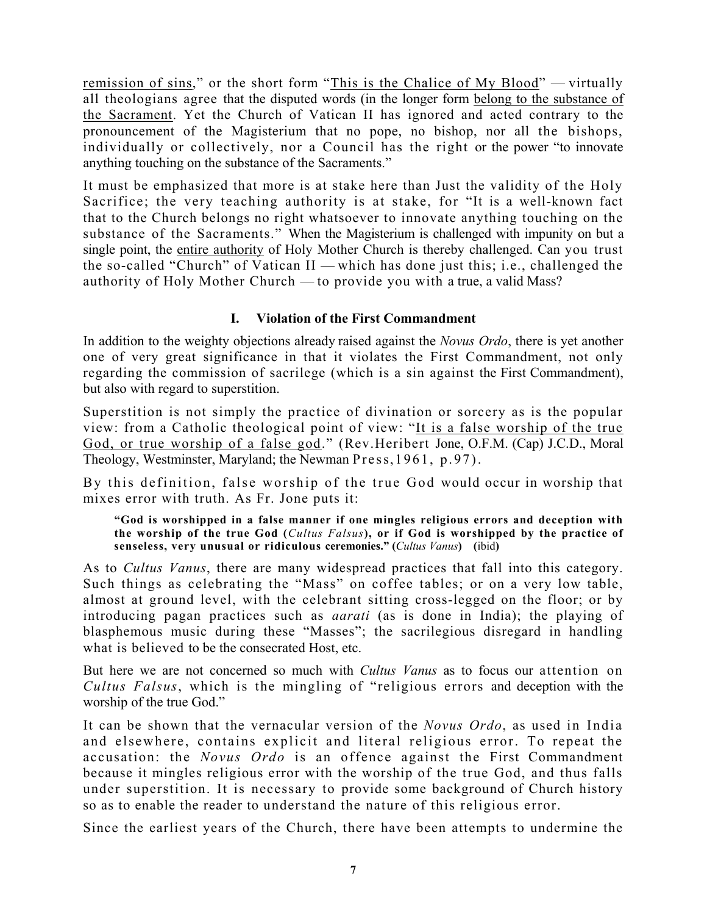remission of sins," or the short form "This is the Chalice of My Blood" — virtually all theologians agree that the disputed words (in the longer form belong to the substance of the Sacrament. Yet the Church of Vatican II has ignored and acted contrary to the pronouncement of the Magisterium that no pope, no bishop, nor all the bishops, individually or collectively, nor a Council has the right or the power "to innovate anything touching on the substance of the Sacraments."

It must be emphasized that more is at stake here than Just the validity of the Holy Sacrifice; the very teaching authority is at stake, for "It is a well-known fact that to the Church belongs no right whatsoever to innovate anything touching on the substance of the Sacraments." When the Magisterium is challenged with impunity on but a single point, the entire authority of Holy Mother Church is thereby challenged. Can you trust the so-called "Church" of Vatican II — which has done just this; i.e., challenged the authority of Holy Mother Church — to provide you with a true, a valid Mass?

# **I. Violation of the First Commandment**

In addition to the weighty objections already raised against the *Novus Ordo*, there is yet another one of very great significance in that it violates the First Commandment, not only regarding the commission of sacrilege (which is a sin against the First Commandment), but also with regard to superstition.

Superstition is not simply the practice of divination or sorcery as is the popular view: from a Catholic theological point of view: "It is a false worship of the true God, or true worship of a false god." (Rev.Heribert Jone, O.F.M. (Cap) J.C.D., Moral Theology, Westminster, Maryland; the Newman Press, 1961, p.97).

By this definition, false worship of the true God would occur in worship that mixes error with truth. As Fr. Jone puts it:

**"God is worshipped in a false manner if one mingles religious errors and deception with the worship of the true God (***Cultus Falsus***), or if God is worshipped by the practice of senseless, very unusual or ridiculous ceremonies." (***Cultus Vanus***) (**ibid**)** 

As to *Cultus Vanus*, there are many widespread practices that fall into this category. Such things as celebrating the "Mass" on coffee tables; or on a very low table, almost at ground level, with the celebrant sitting cross-legged on the floor; or by introducing pagan practices such as *aarati* (as is done in India); the playing of blasphemous music during these "Masses"; the sacrilegious disregard in handling what is believed to be the consecrated Host, etc.

But here we are not concerned so much with *Cultus Vanus* as to focus our attention on *Cultus Falsus*, which is the mingling of "religious errors and deception with the worship of the true God."

It can be shown that the vernacular version of the *Novus Ordo*, as used in India and elsewhere, contains explicit and literal religious error. To repeat the accusation: the *Novus Ordo* is an offence against the First Commandment because it mingles religious error with the worship of the true God, and thus falls under superstition. It is necessary to provide some background of Church history so as to enable the reader to understand the nature of this religious error.

Since the earliest years of the Church, there have been attempts to undermine the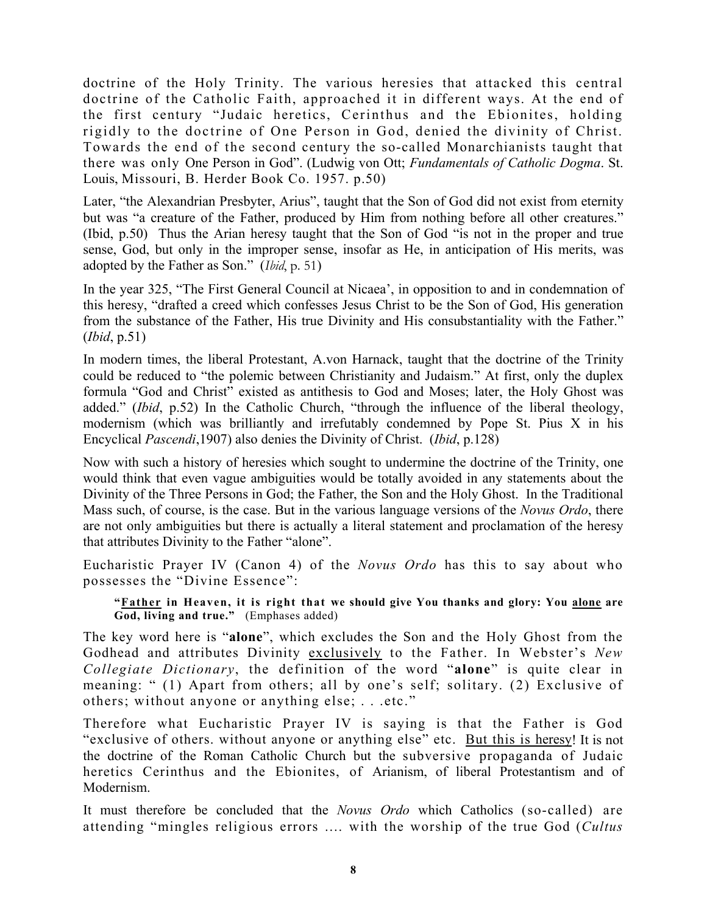doctrine of the Holy Trinity. The various heresies that attacked this central doctrine of the Catholic Faith, approached it in different ways. At the end of the first century "Judaic heretics, Cerinthus and the Ebionites, holding rigidly to the doctrine of One Person in God, denied the divinity of Christ. Towards the end of the second century the so-called Monarchianists taught that there was only One Person in God". (Ludwig von Ott; *Fundamentals of Catholic Dogma*. St. Louis, Missouri, B. Herder Book Co. 1957. p.50)

Later, "the Alexandrian Presbyter, Arius", taught that the Son of God did not exist from eternity but was "a creature of the Father, produced by Him from nothing before all other creatures." (Ibid, p.50) Thus the Arian heresy taught that the Son of God "is not in the proper and true sense, God, but only in the improper sense, insofar as He, in anticipation of His merits, was adopted by the Father as Son." (*Ibid*, p. 51)

In the year 325, "The First General Council at Nicaea', in opposition to and in condemnation of this heresy, "drafted a creed which confesses Jesus Christ to be the Son of God, His generation from the substance of the Father, His true Divinity and His consubstantiality with the Father." (*Ibid*, p.51)

In modern times, the liberal Protestant, A.von Harnack, taught that the doctrine of the Trinity could be reduced to "the polemic between Christianity and Judaism." At first, only the duplex formula "God and Christ" existed as antithesis to God and Moses; later, the Holy Ghost was added." (*Ibid*, p.52) In the Catholic Church, "through the influence of the liberal theology, modernism (which was brilliantly and irrefutably condemned by Pope St. Pius X in his Encyclical *Pascendi*,1907) also denies the Divinity of Christ. (*Ibid*, p.128)

Now with such a history of heresies which sought to undermine the doctrine of the Trinity, one would think that even vague ambiguities would be totally avoided in any statements about the Divinity of the Three Persons in God; the Father, the Son and the Holy Ghost. In the Traditional Mass such, of course, is the case. But in the various language versions of the *Novus Ordo*, there are not only ambiguities but there is actually a literal statement and proclamation of the heresy that attributes Divinity to the Father "alone".

Eucharistic Prayer IV (Canon 4) of the *Novus Ordo* has this to say about who possesses the "Divine Essence":

**"Father in Heaven, it is right that we should give You thanks and glory: You alone are God, living and true."** (Emphases added)

The key word here is "**alone**", which excludes the Son and the Holy Ghost from the Godhead and attributes Divinity exclusively to the Father. In Webster's *New Collegiate Dictionary*, the definition of the word "**alone**" is quite clear in meaning: " (1) Apart from others; all by one's self; solitary. (2) Exclusive of others; without anyone or anything else; . . .etc."

Therefore what Eucharistic Prayer IV is saying is that the Father is God "exclusive of others. without anyone or anything else" etc. But this is heresy! It is not the doctrine of the Roman Catholic Church but the subversive propaganda of Judaic heretics Cerinthus and the Ebionites, of Arianism, of liberal Protestantism and of Modernism.

It must therefore be concluded that the *Novus Ordo* which Catholics (so-called) are attending "mingles religious errors .... with the worship of the true God (*Cultus*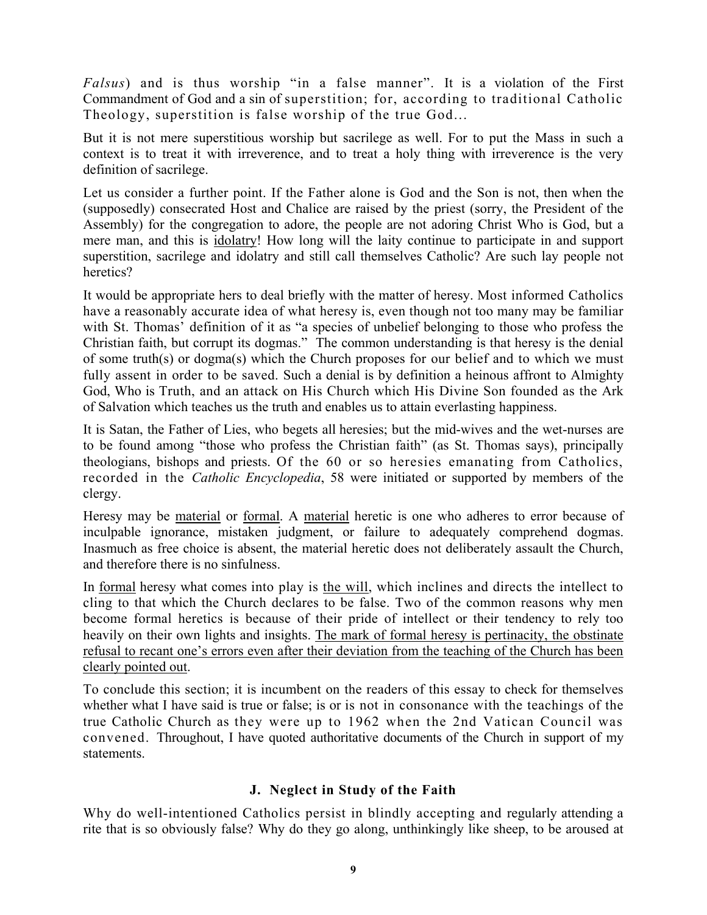*Falsus*) and is thus worship "in a false manner". It is a violation of the First Commandment of God and a sin of superstition; for, according to traditional Catholic Theology, superstition is false worship of the true God...

But it is not mere superstitious worship but sacrilege as well. For to put the Mass in such a context is to treat it with irreverence, and to treat a holy thing with irreverence is the very definition of sacrilege.

Let us consider a further point. If the Father alone is God and the Son is not, then when the (supposedly) consecrated Host and Chalice are raised by the priest (sorry, the President of the Assembly) for the congregation to adore, the people are not adoring Christ Who is God, but a mere man, and this is idolatry! How long will the laity continue to participate in and support superstition, sacrilege and idolatry and still call themselves Catholic? Are such lay people not heretics?

It would be appropriate hers to deal briefly with the matter of heresy. Most informed Catholics have a reasonably accurate idea of what heresy is, even though not too many may be familiar with St. Thomas' definition of it as "a species of unbelief belonging to those who profess the Christian faith, but corrupt its dogmas." The common understanding is that heresy is the denial of some truth(s) or dogma(s) which the Church proposes for our belief and to which we must fully assent in order to be saved. Such a denial is by definition a heinous affront to Almighty God, Who is Truth, and an attack on His Church which His Divine Son founded as the Ark of Salvation which teaches us the truth and enables us to attain everlasting happiness.

It is Satan, the Father of Lies, who begets all heresies; but the mid-wives and the wet-nurses are to be found among "those who profess the Christian faith" (as St. Thomas says), principally theologians, bishops and priests. Of the 60 or so heresies emanating from Catholics, recorded in the *Catholic Encyclopedia*, 58 were initiated or supported by members of the clergy.

Heresy may be material or formal. A material heretic is one who adheres to error because of inculpable ignorance, mistaken judgment, or failure to adequately comprehend dogmas. Inasmuch as free choice is absent, the material heretic does not deliberately assault the Church, and therefore there is no sinfulness.

In formal heresy what comes into play is the will, which inclines and directs the intellect to cling to that which the Church declares to be false. Two of the common reasons why men become formal heretics is because of their pride of intellect or their tendency to rely too heavily on their own lights and insights. The mark of formal heresy is pertinacity, the obstinate refusal to recant one's errors even after their deviation from the teaching of the Church has been clearly pointed out.

To conclude this section; it is incumbent on the readers of this essay to check for themselves whether what I have said is true or false; is or is not in consonance with the teachings of the true Catholic Church as they were up to 1962 when the 2nd Vatican Council was convened. Throughout, I have quoted authoritative documents of the Church in support of my statements.

## **J. Neglect in Study of the Faith**

Why do well-intentioned Catholics persist in blindly accepting and regularly attending a rite that is so obviously false? Why do they go along, unthinkingly like sheep, to be aroused at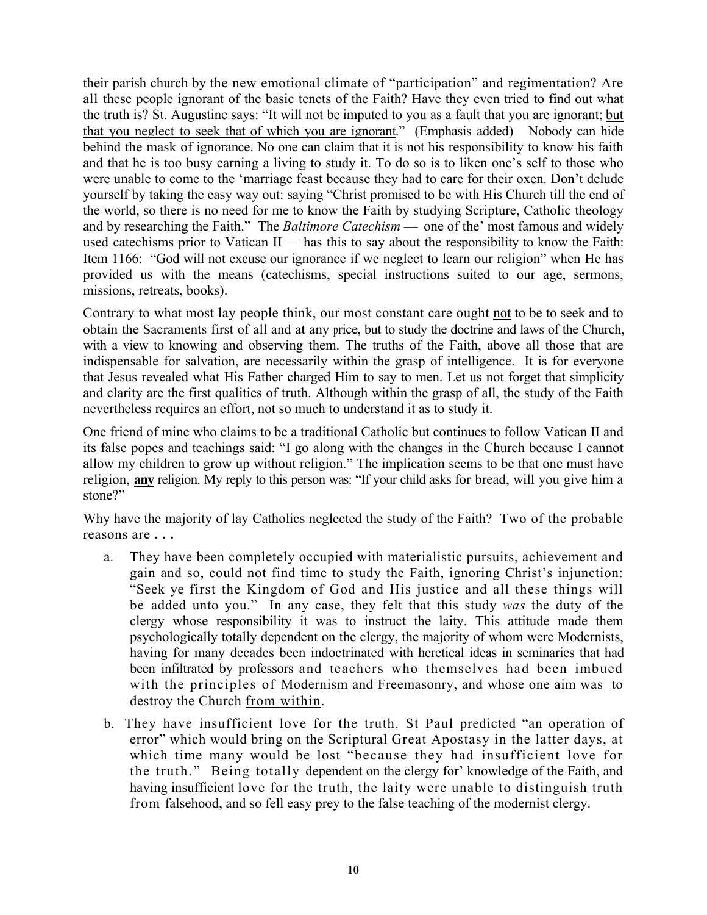their parish church by the new emotional climate of "participation" and regimentation? Are all these people ignorant of the basic tenets of the Faith? Have they even tried to find out what the truth is? St. Augustine says: "It will not be imputed to you as a fault that you are ignorant; but that you neglect to seek that of which you are ignorant." (Emphasis added) Nobody can hide behind the mask of ignorance. No one can claim that it is not his responsibility to know his faith and that he is too busy earning a living to study it. To do so is to liken one's self to those who were unable to come to the 'marriage feast because they had to care for their oxen. Don't delude yourself by taking the easy way out: saying "Christ promised to be with His Church till the end of the world, so there is no need for me to know the Faith by studying Scripture, Catholic theology and by researching the Faith." The *Baltimore Catechism* — one of the' most famous and widely used catechisms prior to Vatican II — has this to say about the responsibility to know the Faith: Item 1166: "God will not excuse our ignorance if we neglect to learn our religion" when He has provided us with the means (catechisms, special instructions suited to our age, sermons, missions, retreats, books).

Contrary to what most lay people think, our most constant care ought not to be to seek and to obtain the Sacraments first of all and at any price, but to study the doctrine and laws of the Church, with a view to knowing and observing them. The truths of the Faith, above all those that are indispensable for salvation, are necessarily within the grasp of intelligence. It is for everyone that Jesus revealed what His Father charged Him to say to men. Let us not forget that simplicity and clarity are the first qualities of truth. Although within the grasp of all, the study of the Faith nevertheless requires an effort, not so much to understand it as to study it.

One friend of mine who claims to be a traditional Catholic but continues to follow Vatican II and its false popes and teachings said: "I go along with the changes in the Church because I cannot allow my children to grow up without religion." The implication seems to be that one must have religion, **any** religion. My reply to this person was: "If your child asks for bread, will you give him a stone?"

Why have the majority of lay Catholics neglected the study of the Faith? Two of the probable reasons are **. . .**

- a. They have been completely occupied with materialistic pursuits, achievement and gain and so, could not find time to study the Faith, ignoring Christ's injunction: "Seek ye first the Kingdom of God and His justice and all these things will be added unto you." In any case, they felt that this study *was* the duty of the clergy whose responsibility it was to instruct the laity. This attitude made them psychologically totally dependent on the clergy, the majority of whom were Modernists, having for many decades been indoctrinated with heretical ideas in seminaries that had been infiltrated by professors and teachers who themselves had been imbued with the principles of Modernism and Freemasonry, and whose one aim was to destroy the Church from within.
- b. They have insufficient love for the truth. St Paul predicted "an operation of error" which would bring on the Scriptural Great Apostasy in the latter days, at which time many would be lost "because they had insufficient love for the truth." Being totally dependent on the clergy for' knowledge of the Faith, and having insufficient love for the truth, the laity were unable to distinguish truth from falsehood, and so fell easy prey to the false teaching of the modernist clergy.